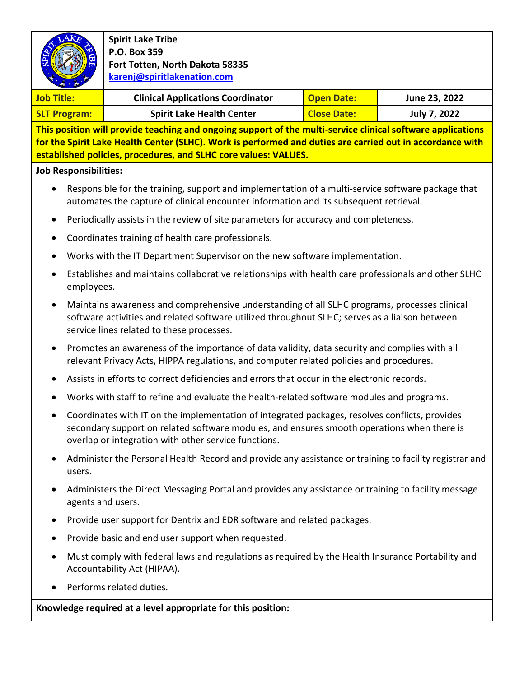|                                                                                                                                                                                                                                                                                             |                                                                                                                                                                                                                                                      | <b>Spirit Lake Tribe</b><br>P.O. Box 359<br>Fort Totten, North Dakota 58335<br>karenj@spiritlakenation.com |                    |                     |  |  |                   |
|---------------------------------------------------------------------------------------------------------------------------------------------------------------------------------------------------------------------------------------------------------------------------------------------|------------------------------------------------------------------------------------------------------------------------------------------------------------------------------------------------------------------------------------------------------|------------------------------------------------------------------------------------------------------------|--------------------|---------------------|--|--|-------------------|
|                                                                                                                                                                                                                                                                                             |                                                                                                                                                                                                                                                      |                                                                                                            |                    |                     |  |  | <b>Job Title:</b> |
| <b>SLT Program:</b>                                                                                                                                                                                                                                                                         |                                                                                                                                                                                                                                                      | <b>Spirit Lake Health Center</b>                                                                           | <b>Close Date:</b> | <b>July 7, 2022</b> |  |  |                   |
| This position will provide teaching and ongoing support of the multi-service clinical software applications<br>for the Spirit Lake Health Center (SLHC). Work is performed and duties are carried out in accordance with<br>established policies, procedures, and SLHC core values: VALUES. |                                                                                                                                                                                                                                                      |                                                                                                            |                    |                     |  |  |                   |
| <b>Job Responsibilities:</b>                                                                                                                                                                                                                                                                |                                                                                                                                                                                                                                                      |                                                                                                            |                    |                     |  |  |                   |
|                                                                                                                                                                                                                                                                                             | Responsible for the training, support and implementation of a multi-service software package that<br>automates the capture of clinical encounter information and its subsequent retrieval.                                                           |                                                                                                            |                    |                     |  |  |                   |
|                                                                                                                                                                                                                                                                                             | Periodically assists in the review of site parameters for accuracy and completeness.                                                                                                                                                                 |                                                                                                            |                    |                     |  |  |                   |
|                                                                                                                                                                                                                                                                                             | Coordinates training of health care professionals.                                                                                                                                                                                                   |                                                                                                            |                    |                     |  |  |                   |
|                                                                                                                                                                                                                                                                                             | Works with the IT Department Supervisor on the new software implementation.                                                                                                                                                                          |                                                                                                            |                    |                     |  |  |                   |
|                                                                                                                                                                                                                                                                                             | Establishes and maintains collaborative relationships with health care professionals and other SLHC<br>employees.                                                                                                                                    |                                                                                                            |                    |                     |  |  |                   |
| $\bullet$                                                                                                                                                                                                                                                                                   | Maintains awareness and comprehensive understanding of all SLHC programs, processes clinical<br>software activities and related software utilized throughout SLHC; serves as a liaison between<br>service lines related to these processes.          |                                                                                                            |                    |                     |  |  |                   |
|                                                                                                                                                                                                                                                                                             | Promotes an awareness of the importance of data validity, data security and complies with all<br>relevant Privacy Acts, HIPPA regulations, and computer related policies and procedures.                                                             |                                                                                                            |                    |                     |  |  |                   |
|                                                                                                                                                                                                                                                                                             | Assists in efforts to correct deficiencies and errors that occur in the electronic records.                                                                                                                                                          |                                                                                                            |                    |                     |  |  |                   |
|                                                                                                                                                                                                                                                                                             |                                                                                                                                                                                                                                                      | Works with staff to refine and evaluate the health-related software modules and programs.                  |                    |                     |  |  |                   |
|                                                                                                                                                                                                                                                                                             | Coordinates with IT on the implementation of integrated packages, resolves conflicts, provides<br>secondary support on related software modules, and ensures smooth operations when there is<br>overlap or integration with other service functions. |                                                                                                            |                    |                     |  |  |                   |
|                                                                                                                                                                                                                                                                                             | Administer the Personal Health Record and provide any assistance or training to facility registrar and<br>users.                                                                                                                                     |                                                                                                            |                    |                     |  |  |                   |
|                                                                                                                                                                                                                                                                                             | Administers the Direct Messaging Portal and provides any assistance or training to facility message<br>agents and users.                                                                                                                             |                                                                                                            |                    |                     |  |  |                   |
|                                                                                                                                                                                                                                                                                             | Provide user support for Dentrix and EDR software and related packages.                                                                                                                                                                              |                                                                                                            |                    |                     |  |  |                   |
|                                                                                                                                                                                                                                                                                             | Provide basic and end user support when requested.                                                                                                                                                                                                   |                                                                                                            |                    |                     |  |  |                   |
|                                                                                                                                                                                                                                                                                             | Must comply with federal laws and regulations as required by the Health Insurance Portability and<br>Accountability Act (HIPAA).                                                                                                                     |                                                                                                            |                    |                     |  |  |                   |
|                                                                                                                                                                                                                                                                                             |                                                                                                                                                                                                                                                      | Performs related duties.                                                                                   |                    |                     |  |  |                   |
| Knowledge required at a level appropriate for this position:                                                                                                                                                                                                                                |                                                                                                                                                                                                                                                      |                                                                                                            |                    |                     |  |  |                   |
|                                                                                                                                                                                                                                                                                             |                                                                                                                                                                                                                                                      |                                                                                                            |                    |                     |  |  |                   |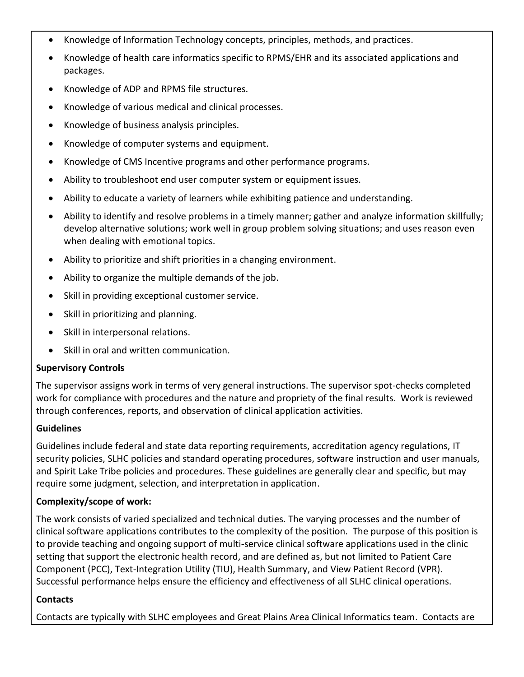- Knowledge of Information Technology concepts, principles, methods, and practices.
- Knowledge of health care informatics specific to RPMS/EHR and its associated applications and packages.
- Knowledge of ADP and RPMS file structures.
- Knowledge of various medical and clinical processes.
- Knowledge of business analysis principles.
- Knowledge of computer systems and equipment.
- Knowledge of CMS Incentive programs and other performance programs.
- Ability to troubleshoot end user computer system or equipment issues.
- Ability to educate a variety of learners while exhibiting patience and understanding.
- Ability to identify and resolve problems in a timely manner; gather and analyze information skillfully; develop alternative solutions; work well in group problem solving situations; and uses reason even when dealing with emotional topics.
- Ability to prioritize and shift priorities in a changing environment.
- Ability to organize the multiple demands of the job.
- Skill in providing exceptional customer service.
- Skill in prioritizing and planning.
- Skill in interpersonal relations.
- Skill in oral and written communication.

### **Supervisory Controls**

The supervisor assigns work in terms of very general instructions. The supervisor spot-checks completed work for compliance with procedures and the nature and propriety of the final results. Work is reviewed through conferences, reports, and observation of clinical application activities.

### **Guidelines**

Guidelines include federal and state data reporting requirements, accreditation agency regulations, IT security policies, SLHC policies and standard operating procedures, software instruction and user manuals, and Spirit Lake Tribe policies and procedures. These guidelines are generally clear and specific, but may require some judgment, selection, and interpretation in application.

### **Complexity/scope of work:**

The work consists of varied specialized and technical duties. The varying processes and the number of clinical software applications contributes to the complexity of the position. The purpose of this position is to provide teaching and ongoing support of multi-service clinical software applications used in the clinic setting that support the electronic health record, and are defined as, but not limited to Patient Care Component (PCC), Text-Integration Utility (TIU), Health Summary, and View Patient Record (VPR). Successful performance helps ensure the efficiency and effectiveness of all SLHC clinical operations.

### **Contacts**

Contacts are typically with SLHC employees and Great Plains Area Clinical Informatics team. Contacts are